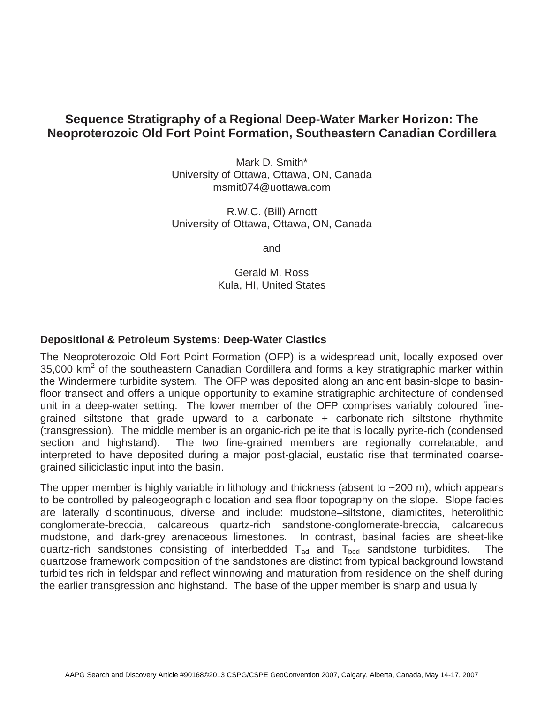## **Sequence Stratigraphy of a Regional Deep-Water Marker Horizon: The Neoproterozoic Old Fort Point Formation, Southeastern Canadian Cordillera**

Mark D. Smith\* University of Ottawa, Ottawa, ON, Canada msmit074@uottawa.com

R.W.C. (Bill) Arnott University of Ottawa, Ottawa, ON, Canada

and

Gerald M. Ross Kula, HI, United States

## **Depositional & Petroleum Systems: Deep-Water Clastics**

The Neoproterozoic Old Fort Point Formation (OFP) is a widespread unit, locally exposed over 35,000  $\text{km}^2$  of the southeastern Canadian Cordillera and forms a key stratigraphic marker within the Windermere turbidite system. The OFP was deposited along an ancient basin-slope to basinfloor transect and offers a unique opportunity to examine stratigraphic architecture of condensed unit in a deep-water setting. The lower member of the OFP comprises variably coloured finegrained siltstone that grade upward to a carbonate + carbonate-rich siltstone rhythmite (transgression). The middle member is an organic-rich pelite that is locally pyrite-rich (condensed section and highstand). The two fine-grained members are regionally correlatable, and interpreted to have deposited during a major post-glacial, eustatic rise that terminated coarsegrained siliciclastic input into the basin.

The upper member is highly variable in lithology and thickness (absent to  $\sim$  200 m), which appears to be controlled by paleogeographic location and sea floor topography on the slope. Slope facies are laterally discontinuous, diverse and include: mudstone–siltstone, diamictites, heterolithic conglomerate-breccia, calcareous quartz-rich sandstone-conglomerate-breccia, calcareous mudstone, and dark-grey arenaceous limestones*.* In contrast, basinal facies are sheet-like quartz-rich sandstones consisting of interbedded  $T_{ad}$  and  $T_{bcd}$  sandstone turbidites. The quartzose framework composition of the sandstones are distinct from typical background lowstand turbidites rich in feldspar and reflect winnowing and maturation from residence on the shelf during the earlier transgression and highstand. The base of the upper member is sharp and usually